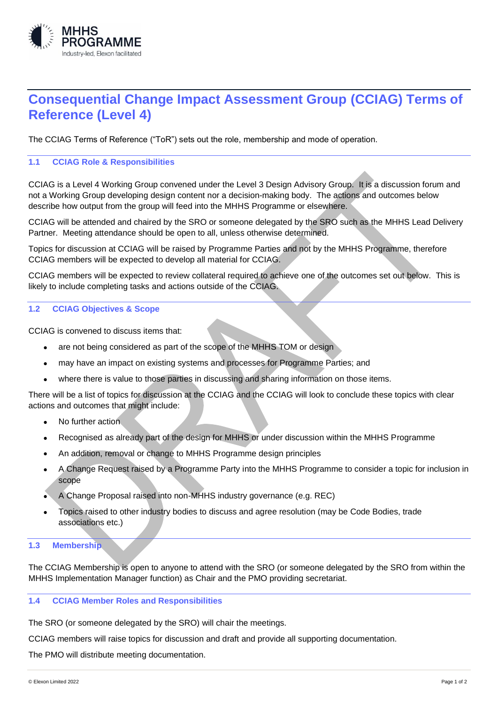

# **Consequential Change Impact Assessment Group (CCIAG) Terms of Reference (Level 4)**

The CCIAG Terms of Reference ("ToR") sets out the role, membership and mode of operation.

## **1.1 CCIAG Role & Responsibilities**

CCIAG is a Level 4 Working Group convened under the Level 3 Design Advisory Group. It is a discussion forum and not a Working Group developing design content nor a decision-making body. The actions and outcomes below describe how output from the group will feed into the MHHS Programme or elsewhere.

CCIAG will be attended and chaired by the SRO or someone delegated by the SRO such as the MHHS Lead Delivery Partner. Meeting attendance should be open to all, unless otherwise determined.

Topics for discussion at CCIAG will be raised by Programme Parties and not by the MHHS Programme, therefore CCIAG members will be expected to develop all material for CCIAG.

CCIAG members will be expected to review collateral required to achieve one of the outcomes set out below. This is likely to include completing tasks and actions outside of the CCIAG.

#### **1.2 CCIAG Objectives & Scope**

CCIAG is convened to discuss items that:

- are not being considered as part of the scope of the MHHS TOM or design
- may have an impact on existing systems and processes for Programme Parties; and
- where there is value to those parties in discussing and sharing information on those items.

There will be a list of topics for discussion at the CCIAG and the CCIAG will look to conclude these topics with clear actions and outcomes that might include:

- No further action
- Recognised as already part of the design for MHHS or under discussion within the MHHS Programme
- An addition, removal or change to MHHS Programme design principles
- A Change Request raised by a Programme Party into the MHHS Programme to consider a topic for inclusion in scope
- A Change Proposal raised into non-MHHS industry governance (e.g. REC)
- Topics raised to other industry bodies to discuss and agree resolution (may be Code Bodies, trade associations etc.)

#### **1.3 Membership**

The CCIAG Membership is open to anyone to attend with the SRO (or someone delegated by the SRO from within the MHHS Implementation Manager function) as Chair and the PMO providing secretariat.

## **1.4 CCIAG Member Roles and Responsibilities**

The SRO (or someone delegated by the SRO) will chair the meetings.

CCIAG members will raise topics for discussion and draft and provide all supporting documentation.

The PMO will distribute meeting documentation.